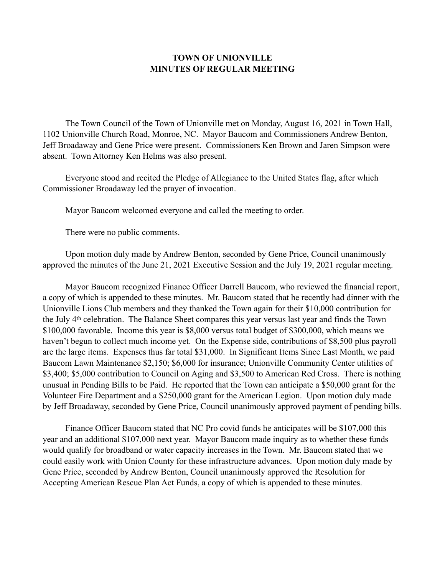## **TOWN OF UNIONVILLE MINUTES OF REGULAR MEETING**

 The Town Council of the Town of Unionville met on Monday, August 16, 2021 in Town Hall, 1102 Unionville Church Road, Monroe, NC. Mayor Baucom and Commissioners Andrew Benton, Jeff Broadaway and Gene Price were present. Commissioners Ken Brown and Jaren Simpson were absent. Town Attorney Ken Helms was also present.

 Everyone stood and recited the Pledge of Allegiance to the United States flag, after which Commissioner Broadaway led the prayer of invocation.

Mayor Baucom welcomed everyone and called the meeting to order.

There were no public comments.

 Upon motion duly made by Andrew Benton, seconded by Gene Price, Council unanimously approved the minutes of the June 21, 2021 Executive Session and the July 19, 2021 regular meeting.

 Mayor Baucom recognized Finance Officer Darrell Baucom, who reviewed the financial report, a copy of which is appended to these minutes. Mr. Baucom stated that he recently had dinner with the Unionville Lions Club members and they thanked the Town again for their \$10,000 contribution for the July 4th celebration. The Balance Sheet compares this year versus last year and finds the Town \$100,000 favorable. Income this year is \$8,000 versus total budget of \$300,000, which means we haven't begun to collect much income yet. On the Expense side, contributions of \$8,500 plus payroll are the large items. Expenses thus far total \$31,000. In Significant Items Since Last Month, we paid Baucom Lawn Maintenance \$2,150; \$6,000 for insurance; Unionville Community Center utilities of \$3,400; \$5,000 contribution to Council on Aging and \$3,500 to American Red Cross. There is nothing unusual in Pending Bills to be Paid. He reported that the Town can anticipate a \$50,000 grant for the Volunteer Fire Department and a \$250,000 grant for the American Legion. Upon motion duly made by Jeff Broadaway, seconded by Gene Price, Council unanimously approved payment of pending bills.

 Finance Officer Baucom stated that NC Pro covid funds he anticipates will be \$107,000 this year and an additional \$107,000 next year. Mayor Baucom made inquiry as to whether these funds would qualify for broadband or water capacity increases in the Town. Mr. Baucom stated that we could easily work with Union County for these infrastructure advances. Upon motion duly made by Gene Price, seconded by Andrew Benton, Council unanimously approved the Resolution for Accepting American Rescue Plan Act Funds, a copy of which is appended to these minutes.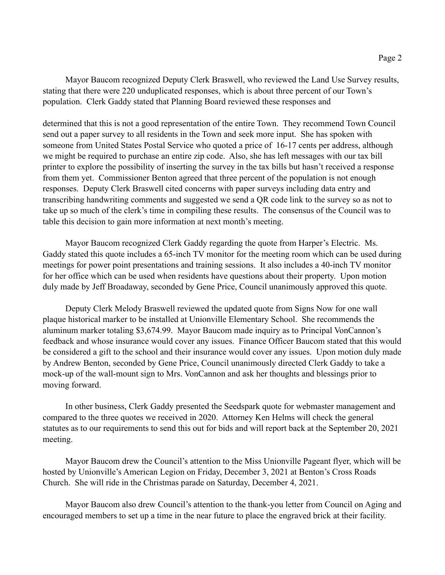Mayor Baucom recognized Deputy Clerk Braswell, who reviewed the Land Use Survey results, stating that there were 220 unduplicated responses, which is about three percent of our Town's population. Clerk Gaddy stated that Planning Board reviewed these responses and

determined that this is not a good representation of the entire Town. They recommend Town Council send out a paper survey to all residents in the Town and seek more input. She has spoken with someone from United States Postal Service who quoted a price of 16-17 cents per address, although we might be required to purchase an entire zip code. Also, she has left messages with our tax bill printer to explore the possibility of inserting the survey in the tax bills but hasn't received a response from them yet. Commissioner Benton agreed that three percent of the population is not enough responses. Deputy Clerk Braswell cited concerns with paper surveys including data entry and transcribing handwriting comments and suggested we send a QR code link to the survey so as not to take up so much of the clerk's time in compiling these results. The consensus of the Council was to table this decision to gain more information at next month's meeting.

 Mayor Baucom recognized Clerk Gaddy regarding the quote from Harper's Electric. Ms. Gaddy stated this quote includes a 65-inch TV monitor for the meeting room which can be used during meetings for power point presentations and training sessions. It also includes a 40-inch TV monitor for her office which can be used when residents have questions about their property. Upon motion duly made by Jeff Broadaway, seconded by Gene Price, Council unanimously approved this quote.

 Deputy Clerk Melody Braswell reviewed the updated quote from Signs Now for one wall plaque historical marker to be installed at Unionville Elementary School. She recommends the aluminum marker totaling \$3,674.99. Mayor Baucom made inquiry as to Principal VonCannon's feedback and whose insurance would cover any issues. Finance Officer Baucom stated that this would be considered a gift to the school and their insurance would cover any issues. Upon motion duly made by Andrew Benton, seconded by Gene Price, Council unanimously directed Clerk Gaddy to take a mock-up of the wall-mount sign to Mrs. VonCannon and ask her thoughts and blessings prior to moving forward.

 In other business, Clerk Gaddy presented the Seedspark quote for webmaster management and compared to the three quotes we received in 2020. Attorney Ken Helms will check the general statutes as to our requirements to send this out for bids and will report back at the September 20, 2021 meeting.

 Mayor Baucom drew the Council's attention to the Miss Unionville Pageant flyer, which will be hosted by Unionville's American Legion on Friday, December 3, 2021 at Benton's Cross Roads Church. She will ride in the Christmas parade on Saturday, December 4, 2021.

 Mayor Baucom also drew Council's attention to the thank-you letter from Council on Aging and encouraged members to set up a time in the near future to place the engraved brick at their facility.